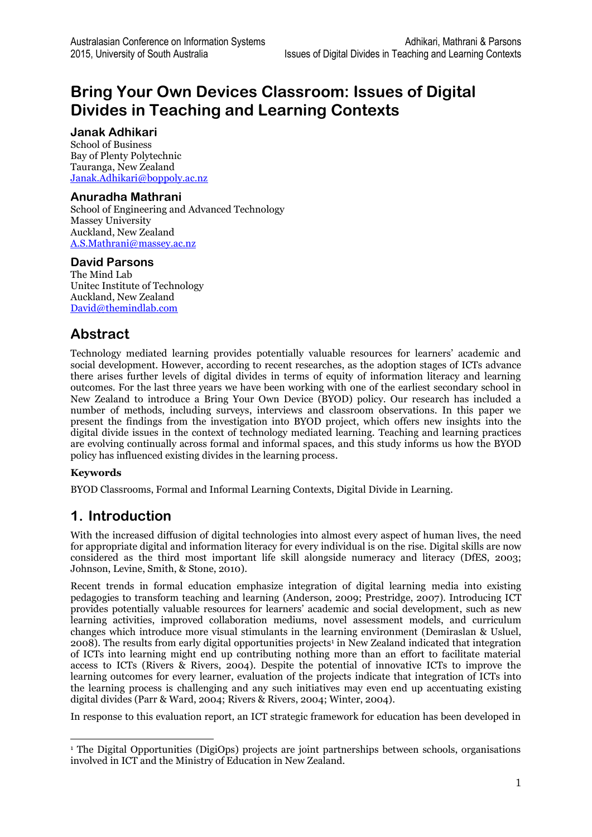# **Bring Your Own Devices Classroom: Issues of Digital Divides in Teaching and Learning Contexts**

#### **Janak Adhikari**

School of Business Bay of Plenty Polytechnic Tauranga, New Zealand [Janak.Adhikari@boppoly.ac.nz](mailto:Janak.Adhikari@boppoly.ac.nz)

#### **Anuradha Mathrani**

School of Engineering and Advanced Technology Massey University Auckland, New Zealand [A.S.Mathrani@massey.ac.nz](mailto:A.S.Mathrani@massey.ac.nz)

### **David Parsons**

The Mind Lab Unitec Institute of Technology Auckland, New Zealand [David@themindlab.com](mailto:David@themindlab.com)

## **Abstract**

Technology mediated learning provides potentially valuable resources for learners' academic and social development. However, according to recent researches, as the adoption stages of ICTs advance there arises further levels of digital divides in terms of equity of information literacy and learning outcomes. For the last three years we have been working with one of the earliest secondary school in New Zealand to introduce a Bring Your Own Device (BYOD) policy. Our research has included a number of methods, including surveys, interviews and classroom observations. In this paper we present the findings from the investigation into BYOD project, which offers new insights into the digital divide issues in the context of technology mediated learning. Teaching and learning practices are evolving continually across formal and informal spaces, and this study informs us how the BYOD policy has influenced existing divides in the learning process.

#### **Keywords**

BYOD Classrooms, Formal and Informal Learning Contexts, Digital Divide in Learning.

## **1. Introduction**

With the increased diffusion of digital technologies into almost every aspect of human lives, the need for appropriate digital and information literacy for every individual is on the rise. Digital skills are now considered as the third most important life skill alongside numeracy and literacy [\(DfES, 2003;](#page-9-0) [Johnson, Levine, Smith, & Stone, 2010\)](#page-9-1).

Recent trends in formal education emphasize integration of digital learning media into existing pedagogies to transform teaching and learning [\(Anderson, 2009;](#page-9-2) [Prestridge, 2007\)](#page-9-3). Introducing ICT provides potentially valuable resources for learners' academic and social development, such as new learning activities, improved collaboration mediums, novel assessment models, and curriculum changes which introduce more visual stimulants in the learning environment [\(Demiraslan & Usluel,](#page-9-4)  [2008\)](#page-9-4). The results from early digital opportunities projects<sup>1</sup> in New Zealand indicated that integration of ICTs into learning might end up contributing nothing more than an effort to facilitate material access to ICTs [\(Rivers & Rivers, 2004\)](#page-9-5). Despite the potential of innovative ICTs to improve the learning outcomes for every learner, evaluation of the projects indicate that integration of ICTs into the learning process is challenging and any such initiatives may even end up accentuating existing digital divides [\(Parr & Ward, 2004;](#page-9-6) [Rivers & Rivers, 2004;](#page-9-5) [Winter, 2004\)](#page-9-7).

In response to this evaluation report, an ICT strategic framework for education has been developed in

<sup>1</sup> The Digital Opportunities (DigiOps) projects are joint partnerships between schools, organisations involved in ICT and the Ministry of Education in New Zealand.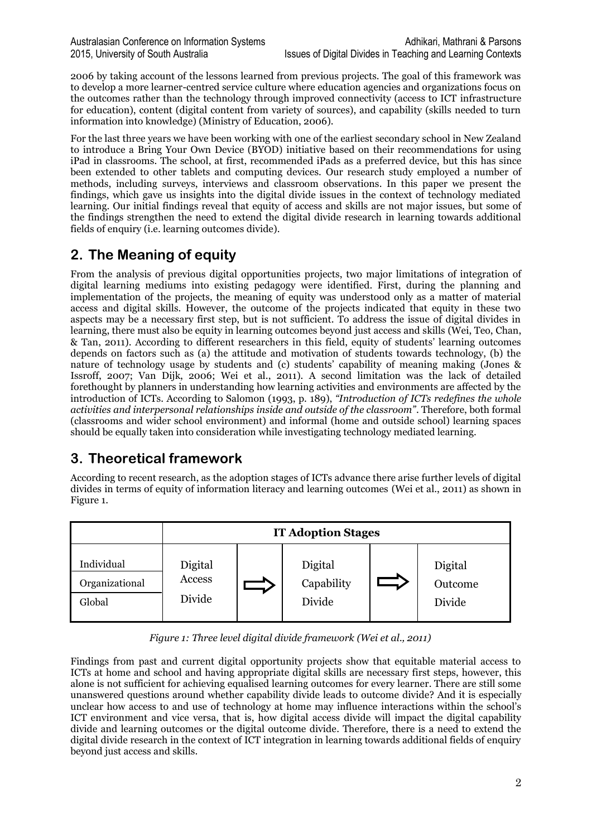2006 by taking account of the lessons learned from previous projects. The goal of this framework was to develop a more learner-centred service culture where education agencies and organizations focus on the outcomes rather than the technology through improved connectivity (access to ICT infrastructure for education), content (digital content from variety of sources), and capability (skills needed to turn information into knowledge) [\(Ministry of Education, 2006\)](#page-9-8).

For the last three years we have been working with one of the earliest secondary school in New Zealand to introduce a Bring Your Own Device (BYOD) initiative based on their recommendations for using iPad in classrooms. The school, at first, recommended iPads as a preferred device, but this has since been extended to other tablets and computing devices. Our research study employed a number of methods, including surveys, interviews and classroom observations. In this paper we present the findings, which gave us insights into the digital divide issues in the context of technology mediated learning. Our initial findings reveal that equity of access and skills are not major issues, but some of the findings strengthen the need to extend the digital divide research in learning towards additional fields of enquiry (i.e. learning outcomes divide).

# **2. The Meaning of equity**

From the analysis of previous digital opportunities projects, two major limitations of integration of digital learning mediums into existing pedagogy were identified. First, during the planning and implementation of the projects, the meaning of equity was understood only as a matter of material access and digital skills. However, the outcome of the projects indicated that equity in these two aspects may be a necessary first step, but is not sufficient. To address the issue of digital divides in learning, there must also be equity in learning outcomes beyond just access and skills [\(Wei, Teo, Chan,](#page-9-9)  [& Tan, 2011\)](#page-9-9). According to different researchers in this field, equity of students' learning outcomes depends on factors such as (a) the attitude and motivation of students towards technology, (b) the nature of technology usage by students and (c) students' capability of meaning making [\(Jones &](#page-9-10)  [Issroff, 2007;](#page-9-10) [Van Dijk, 2006;](#page-9-11) [Wei et al., 2011\)](#page-9-9). A second limitation was the lack of detailed forethought by planners in understanding how learning activities and environments are affected by the introduction of ICTs. According to Salomon [\(1993, p. 189\)](#page-9-12), *"Introduction of ICTs redefines the whole activities and interpersonal relationships inside and outside of the classroom"*. Therefore, both formal (classrooms and wider school environment) and informal (home and outside school) learning spaces should be equally taken into consideration while investigating technology mediated learning.

# **3. Theoretical framework**

According to recent research, as the adoption stages of ICTs advance there arise further levels of digital divides in terms of equity of information literacy and learning outcomes [\(Wei et al., 2011\)](#page-9-9) as shown in Figure 1.

|                                        | <b>IT Adoption Stages</b>   |  |                                 |  |                              |  |  |  |
|----------------------------------------|-----------------------------|--|---------------------------------|--|------------------------------|--|--|--|
| Individual<br>Organizational<br>Global | Digital<br>Access<br>Divide |  | Digital<br>Capability<br>Divide |  | Digital<br>Outcome<br>Divide |  |  |  |

*Figure 1: Three level digital divide framework (Wei et al., 2011)*

Findings from past and current digital opportunity projects show that equitable material access to ICTs at home and school and having appropriate digital skills are necessary first steps, however, this alone is not sufficient for achieving equalised learning outcomes for every learner. There are still some unanswered questions around whether capability divide leads to outcome divide? And it is especially unclear how access to and use of technology at home may influence interactions within the school's ICT environment and vice versa, that is, how digital access divide will impact the digital capability divide and learning outcomes or the digital outcome divide. Therefore, there is a need to extend the digital divide research in the context of ICT integration in learning towards additional fields of enquiry beyond just access and skills.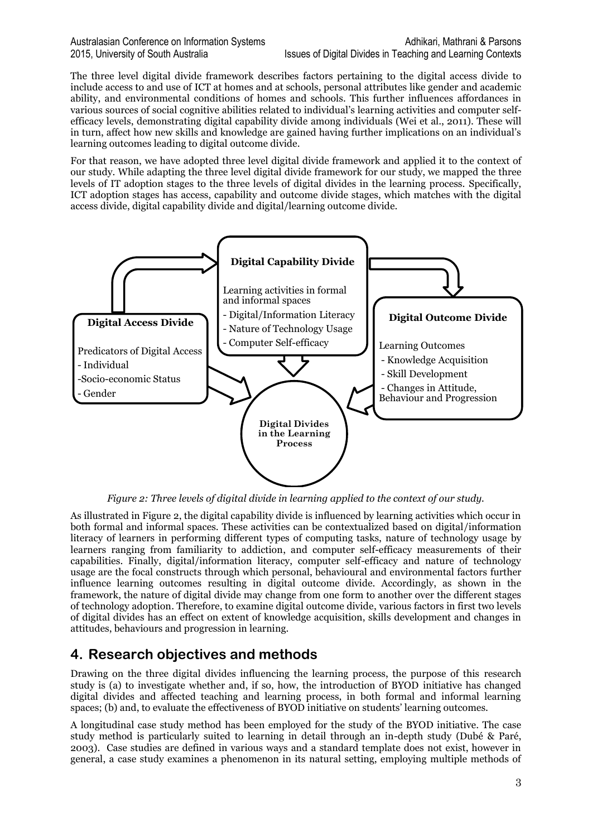The three level digital divide framework describes factors pertaining to the digital access divide to include access to and use of ICT at homes and at schools, personal attributes like gender and academic ability, and environmental conditions of homes and schools. This further influences affordances in various sources of social cognitive abilities related to individual's learning activities and computer selfefficacy levels, demonstrating digital capability divide among individuals [\(Wei et al., 2011\)](#page-9-9). These will in turn, affect how new skills and knowledge are gained having further implications on an individual's learning outcomes leading to digital outcome divide.

For that reason, we have adopted three level digital divide framework and applied it to the context of our study. While adapting the three level digital divide framework for our study, we mapped the three levels of IT adoption stages to the three levels of digital divides in the learning process. Specifically, ICT adoption stages has access, capability and outcome divide stages, which matches with the digital access divide, digital capability divide and digital/learning outcome divide.



*Figure 2: Three levels of digital divide in learning applied to the context of our study.*

As illustrated in Figure 2, the digital capability divide is influenced by learning activities which occur in both formal and informal spaces. These activities can be contextualized based on digital/information literacy of learners in performing different types of computing tasks, nature of technology usage by learners ranging from familiarity to addiction, and computer self-efficacy measurements of their capabilities. Finally, digital/information literacy, computer self-efficacy and nature of technology usage are the focal constructs through which personal, behavioural and environmental factors further influence learning outcomes resulting in digital outcome divide. Accordingly, as shown in the framework, the nature of digital divide may change from one form to another over the different stages of technology adoption. Therefore, to examine digital outcome divide, various factors in first two levels of digital divides has an effect on extent of knowledge acquisition, skills development and changes in attitudes, behaviours and progression in learning.

# **4. Research objectives and methods**

Drawing on the three digital divides influencing the learning process, the purpose of this research study is (a) to investigate whether and, if so, how, the introduction of BYOD initiative has changed digital divides and affected teaching and learning process, in both formal and informal learning spaces; (b) and, to evaluate the effectiveness of BYOD initiative on students' learning outcomes.

A longitudinal case study method has been employed for the study of the BYOD initiative. The case study method is particularly suited to learning in detail through an in-depth study [\(Dubé & Paré,](#page-9-13)  [2003\)](#page-9-13). Case studies are defined in various ways and a standard template does not exist, however in general, a case study examines a phenomenon in its natural setting, employing multiple methods of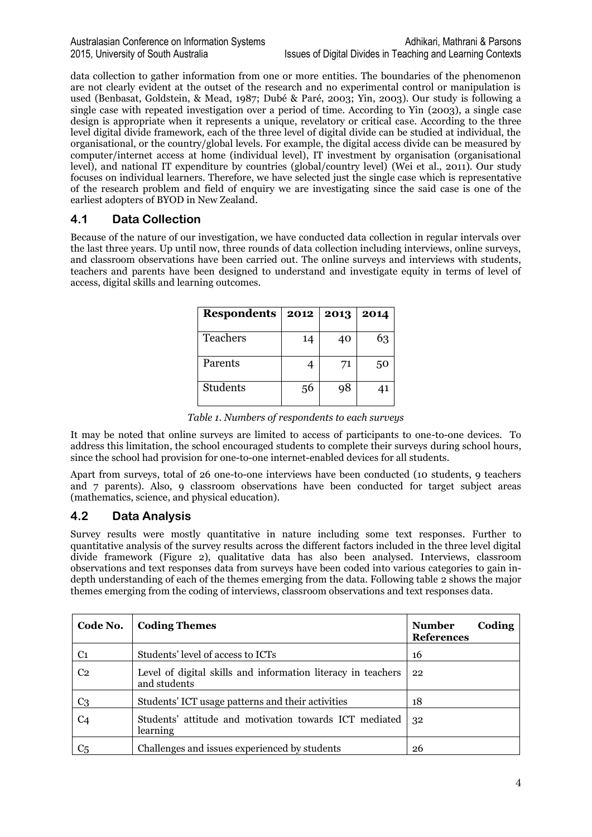data collection to gather information from one or more entities. The boundaries of the phenomenon are not clearly evident at the outset of the research and no experimental control or manipulation is used [\(Benbasat, Goldstein, & Mead, 1987;](#page-9-14) [Dubé & Paré, 2003;](#page-9-13) [Yin, 2003\)](#page-9-15). Our study is following a single case with repeated investigation over a period of time. According to Yin [\(2003\)](#page-9-15), a single case design is appropriate when it represents a unique, revelatory or critical case. According to the three level digital divide framework, each of the three level of digital divide can be studied at individual, the organisational, or the country/global levels. For example, the digital access divide can be measured by computer/internet access at home (individual level), IT investment by organisation (organisational level), and national IT expenditure by countries (global/country level) [\(Wei et al., 2011\)](#page-9-9). Our study focuses on individual learners. Therefore, we have selected just the single case which is representative of the research problem and field of enquiry we are investigating since the said case is one of the earliest adopters of BYOD in New Zealand.

## **4.1 Data Collection**

Because of the nature of our investigation, we have conducted data collection in regular intervals over the last three years. Up until now, three rounds of data collection including interviews, online surveys, and classroom observations have been carried out. The online surveys and interviews with students, teachers and parents have been designed to understand and investigate equity in terms of level of access, digital skills and learning outcomes.

| <b>Respondents</b> | 2012 | 2013 | 2014 |
|--------------------|------|------|------|
| <b>Teachers</b>    | 14   | 40   | 63   |
| Parents            |      | 71   | 50   |
| <b>Students</b>    | 56   | 98   |      |

*Table 1. Numbers of respondents to each surveys*

It may be noted that online surveys are limited to access of participants to one-to-one devices. To address this limitation, the school encouraged students to complete their surveys during school hours, since the school had provision for one-to-one internet-enabled devices for all students.

Apart from surveys, total of 26 one-to-one interviews have been conducted (10 students, 9 teachers and 7 parents). Also, 9 classroom observations have been conducted for target subject areas (mathematics, science, and physical education).

## **4.2 Data Analysis**

Survey results were mostly quantitative in nature including some text responses. Further to quantitative analysis of the survey results across the different factors included in the three level digital divide framework (Figure 2), qualitative data has also been analysed. Interviews, classroom observations and text responses data from surveys have been coded into various categories to gain indepth understanding of each of the themes emerging from the data. Following table 2 shows the major themes emerging from the coding of interviews, classroom observations and text responses data.

| Code No.       | <b>Coding Themes</b>                                                         | Coding<br><b>Number</b><br><b>References</b> |
|----------------|------------------------------------------------------------------------------|----------------------------------------------|
| C <sub>1</sub> | Students' level of access to ICTs                                            | 16                                           |
| C <sub>2</sub> | Level of digital skills and information literacy in teachers<br>and students | 22                                           |
| C3             | Students' ICT usage patterns and their activities                            | 18                                           |
| C <sub>4</sub> | Students' attitude and motivation towards ICT mediated<br>learning           | 32                                           |
| C <sub>5</sub> | Challenges and issues experienced by students                                | 26                                           |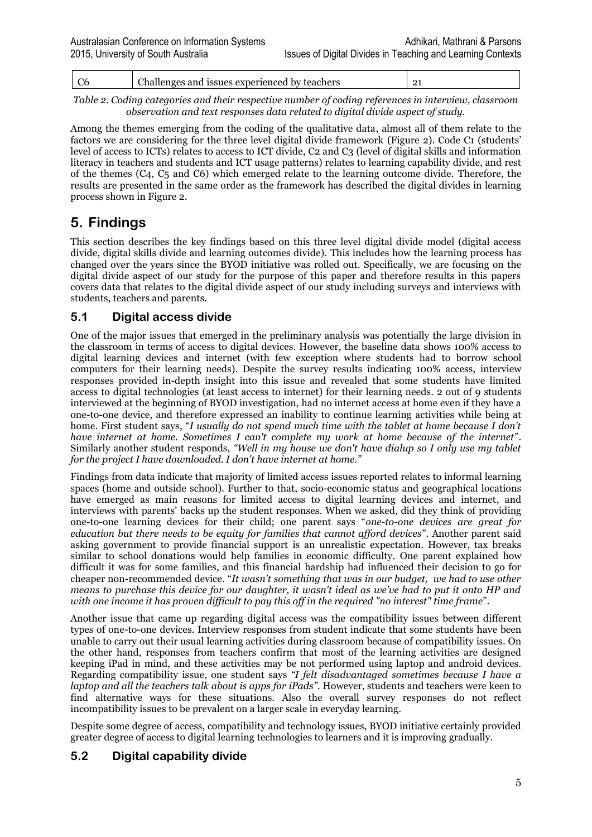| - UU   |        | issues experienced<br>by teachers<br>and<br>$\sim$ |  |  |  |  |  |  |  |  |  |  |
|--------|--------|----------------------------------------------------|--|--|--|--|--|--|--|--|--|--|
| -- - - | $\sim$ |                                                    |  |  |  |  |  |  |  |  |  |  |

*Table 2. Coding categories and their respective number of coding references in interview, classroom observation and text responses data related to digital divide aspect of study.*

Among the themes emerging from the coding of the qualitative data, almost all of them relate to the factors we are considering for the three level digital divide framework (Figure 2). Code C1 (students' level of access to ICTs) relates to access to ICT divide, C2 and C3 (level of digital skills and information literacy in teachers and students and ICT usage patterns) relates to learning capability divide, and rest of the themes (C4, C5 and C6) which emerged relate to the learning outcome divide. Therefore, the results are presented in the same order as the framework has described the digital divides in learning process shown in Figure 2.

## **5. Findings**

This section describes the key findings based on this three level digital divide model (digital access divide, digital skills divide and learning outcomes divide). This includes how the learning process has changed over the years since the BYOD initiative was rolled out. Specifically, we are focusing on the digital divide aspect of our study for the purpose of this paper and therefore results in this papers covers data that relates to the digital divide aspect of our study including surveys and interviews with students, teachers and parents.

## **5.1 Digital access divide**

One of the major issues that emerged in the preliminary analysis was potentially the large division in the classroom in terms of access to digital devices. However, the baseline data shows 100% access to digital learning devices and internet (with few exception where students had to borrow school computers for their learning needs). Despite the survey results indicating 100% access, interview responses provided in-depth insight into this issue and revealed that some students have limited access to digital technologies (at least access to internet) for their learning needs. 2 out of 9 students interviewed at the beginning of BYOD investigation, had no internet access at home even if they have a one-to-one device, and therefore expressed an inability to continue learning activities while being at home. First student says, "*I usually do not spend much time with the tablet at home because I don't have internet at home. Sometimes I can't complete my work at home because of the internet*". Similarly another student responds, *"Well in my house we don't have dialup so I only use my tablet for the project I have downloaded. I don't have internet at home."*

Findings from data indicate that majority of limited access issues reported relates to informal learning spaces (home and outside school). Further to that, socio-economic status and geographical locations have emerged as main reasons for limited access to digital learning devices and internet, and interviews with parents' backs up the student responses. When we asked, did they think of providing one-to-one learning devices for their child; one parent says "*one-to-one devices are great for education but there needs to be equity for families that cannot afford devices*". Another parent said asking government to provide financial support is an unrealistic expectation. However, tax breaks similar to school donations would help families in economic difficulty. One parent explained how difficult it was for some families, and this financial hardship had influenced their decision to go for cheaper non-recommended device. "*It wasn't something that was in our budget, we had to use other means to purchase this device for our daughter, it wasn't ideal as we've had to put it onto HP and with one income it has proven difficult to pay this off in the required "no interest" time frame*".

Another issue that came up regarding digital access was the compatibility issues between different types of one-to-one devices. Interview responses from student indicate that some students have been unable to carry out their usual learning activities during classroom because of compatibility issues. On the other hand, responses from teachers confirm that most of the learning activities are designed keeping iPad in mind, and these activities may be not performed using laptop and android devices. Regarding compatibility issue, one student says *"I felt disadvantaged sometimes because I have a laptop and all the teachers talk about is apps for iPads".* However, students and teachers were keen to find alternative ways for these situations. Also the overall survey responses do not reflect incompatibility issues to be prevalent on a larger scale in everyday learning.

Despite some degree of access, compatibility and technology issues, BYOD initiative certainly provided greater degree of access to digital learning technologies to learners and it is improving gradually.

## **5.2 Digital capability divide**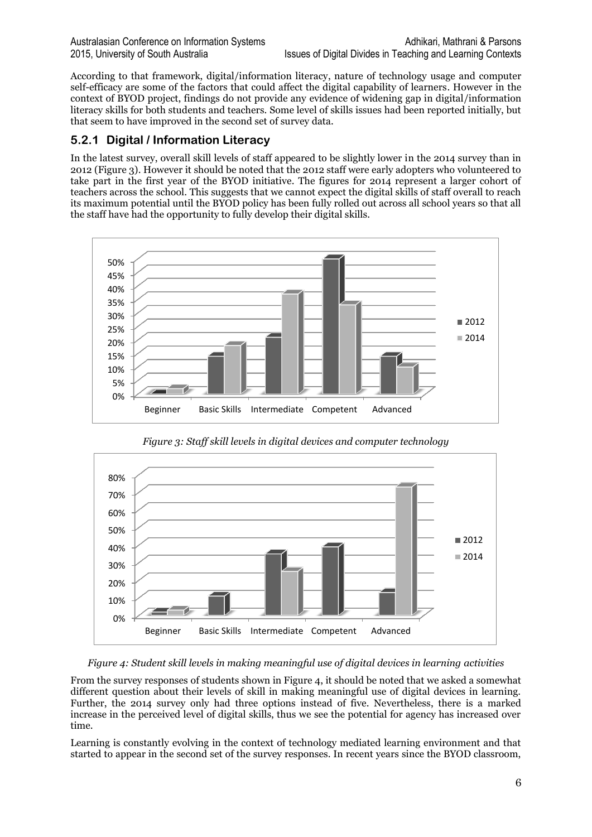According to that framework, digital/information literacy, nature of technology usage and computer self-efficacy are some of the factors that could affect the digital capability of learners. However in the context of BYOD project, findings do not provide any evidence of widening gap in digital/information literacy skills for both students and teachers. Some level of skills issues had been reported initially, but that seem to have improved in the second set of survey data.

### **5.2.1 Digital / Information Literacy**

In the latest survey, overall skill levels of staff appeared to be slightly lower in the 2014 survey than in 2012 (Figure 3). However it should be noted that the 2012 staff were early adopters who volunteered to take part in the first year of the BYOD initiative. The figures for 2014 represent a larger cohort of teachers across the school. This suggests that we cannot expect the digital skills of staff overall to reach its maximum potential until the BYOD policy has been fully rolled out across all school years so that all the staff have had the opportunity to fully develop their digital skills.



*Figure 3: Staff skill levels in digital devices and computer technology*



*Figure 4: Student skill levels in making meaningful use of digital devices in learning activities*

From the survey responses of students shown in Figure 4, it should be noted that we asked a somewhat different question about their levels of skill in making meaningful use of digital devices in learning. Further, the 2014 survey only had three options instead of five. Nevertheless, there is a marked increase in the perceived level of digital skills, thus we see the potential for agency has increased over time.

Learning is constantly evolving in the context of technology mediated learning environment and that started to appear in the second set of the survey responses. In recent years since the BYOD classroom,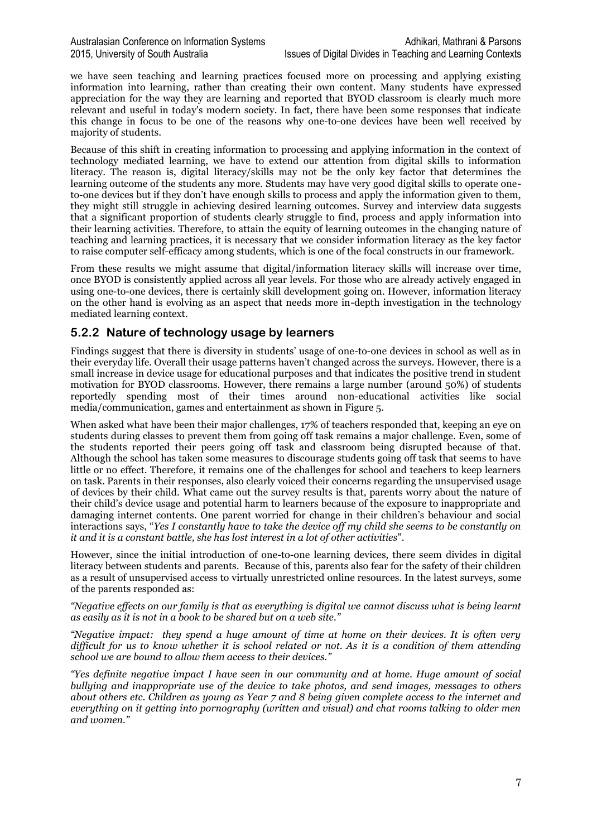we have seen teaching and learning practices focused more on processing and applying existing information into learning, rather than creating their own content. Many students have expressed appreciation for the way they are learning and reported that BYOD classroom is clearly much more relevant and useful in today's modern society. In fact, there have been some responses that indicate this change in focus to be one of the reasons why one-to-one devices have been well received by majority of students.

Because of this shift in creating information to processing and applying information in the context of technology mediated learning, we have to extend our attention from digital skills to information literacy. The reason is, digital literacy/skills may not be the only key factor that determines the learning outcome of the students any more. Students may have very good digital skills to operate oneto-one devices but if they don't have enough skills to process and apply the information given to them, they might still struggle in achieving desired learning outcomes. Survey and interview data suggests that a significant proportion of students clearly struggle to find, process and apply information into their learning activities. Therefore, to attain the equity of learning outcomes in the changing nature of teaching and learning practices, it is necessary that we consider information literacy as the key factor to raise computer self-efficacy among students, which is one of the focal constructs in our framework.

From these results we might assume that digital/information literacy skills will increase over time, once BYOD is consistently applied across all year levels. For those who are already actively engaged in using one-to-one devices, there is certainly skill development going on. However, information literacy on the other hand is evolving as an aspect that needs more in-depth investigation in the technology mediated learning context.

### **5.2.2 Nature of technology usage by learners**

Findings suggest that there is diversity in students' usage of one-to-one devices in school as well as in their everyday life. Overall their usage patterns haven't changed across the surveys. However, there is a small increase in device usage for educational purposes and that indicates the positive trend in student motivation for BYOD classrooms. However, there remains a large number (around 50%) of students reportedly spending most of their times around non-educational activities like social media/communication, games and entertainment as shown in Figure 5.

When asked what have been their major challenges, 17% of teachers responded that, keeping an eye on students during classes to prevent them from going off task remains a major challenge. Even, some of the students reported their peers going off task and classroom being disrupted because of that. Although the school has taken some measures to discourage students going off task that seems to have little or no effect. Therefore, it remains one of the challenges for school and teachers to keep learners on task. Parents in their responses, also clearly voiced their concerns regarding the unsupervised usage of devices by their child. What came out the survey results is that, parents worry about the nature of their child's device usage and potential harm to learners because of the exposure to inappropriate and damaging internet contents. One parent worried for change in their children's behaviour and social interactions says, "*Yes I constantly have to take the device off my child she seems to be constantly on it and it is a constant battle, she has lost interest in a lot of other activities*".

However, since the initial introduction of one-to-one learning devices, there seem divides in digital literacy between students and parents. Because of this, parents also fear for the safety of their children as a result of unsupervised access to virtually unrestricted online resources. In the latest surveys, some of the parents responded as:

*"Negative effects on our family is that as everything is digital we cannot discuss what is being learnt as easily as it is not in a book to be shared but on a web site."*

*"Negative impact: they spend a huge amount of time at home on their devices. It is often very difficult for us to know whether it is school related or not. As it is a condition of them attending school we are bound to allow them access to their devices."*

*"Yes definite negative impact I have seen in our community and at home. Huge amount of social bullying and inappropriate use of the device to take photos, and send images, messages to others about others etc. Children as young as Year 7 and 8 being given complete access to the internet and everything on it getting into pornography (written and visual) and chat rooms talking to older men and women."*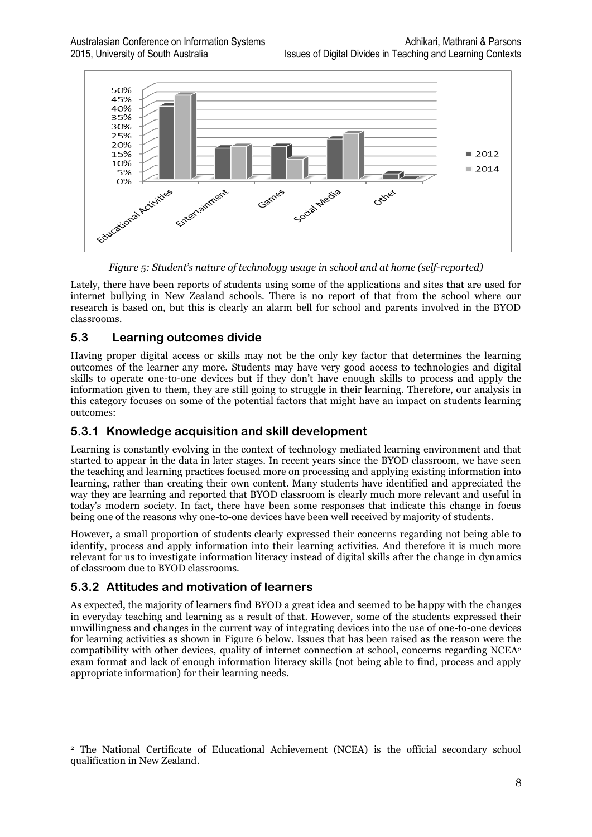

*Figure 5: Student's nature of technology usage in school and at home (self-reported)*

Lately, there have been reports of students using some of the applications and sites that are used for internet bullying in New Zealand schools. There is no report of that from the school where our research is based on, but this is clearly an alarm bell for school and parents involved in the BYOD classrooms.

## **5.3 Learning outcomes divide**

Having proper digital access or skills may not be the only key factor that determines the learning outcomes of the learner any more. Students may have very good access to technologies and digital skills to operate one-to-one devices but if they don't have enough skills to process and apply the information given to them, they are still going to struggle in their learning. Therefore, our analysis in this category focuses on some of the potential factors that might have an impact on students learning outcomes:

## **5.3.1 Knowledge acquisition and skill development**

Learning is constantly evolving in the context of technology mediated learning environment and that started to appear in the data in later stages. In recent years since the BYOD classroom, we have seen the teaching and learning practices focused more on processing and applying existing information into learning, rather than creating their own content. Many students have identified and appreciated the way they are learning and reported that BYOD classroom is clearly much more relevant and useful in today's modern society. In fact, there have been some responses that indicate this change in focus being one of the reasons why one-to-one devices have been well received by majority of students.

However, a small proportion of students clearly expressed their concerns regarding not being able to identify, process and apply information into their learning activities. And therefore it is much more relevant for us to investigate information literacy instead of digital skills after the change in dynamics of classroom due to BYOD classrooms.

## **5.3.2 Attitudes and motivation of learners**

As expected, the majority of learners find BYOD a great idea and seemed to be happy with the changes in everyday teaching and learning as a result of that. However, some of the students expressed their unwillingness and changes in the current way of integrating devices into the use of one-to-one devices for learning activities as shown in Figure 6 below. Issues that has been raised as the reason were the compatibility with other devices, quality of internet connection at school, concerns regarding NCEA<sup>2</sup> exam format and lack of enough information literacy skills (not being able to find, process and apply appropriate information) for their learning needs.

 <sup>2</sup> The National Certificate of Educational Achievement (NCEA) is the official secondary school qualification in New Zealand.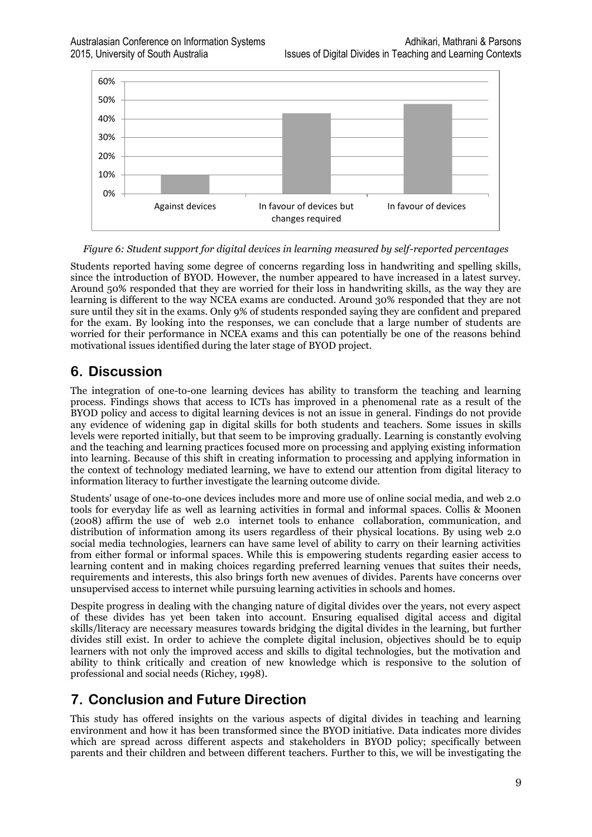

*Figure 6: Student support for digital devices in learning measured by self-reported percentages*

Students reported having some degree of concerns regarding loss in handwriting and spelling skills, since the introduction of BYOD. However, the number appeared to have increased in a latest survey. Around 50% responded that they are worried for their loss in handwriting skills, as the way they are learning is different to the way NCEA exams are conducted. Around 30% responded that they are not sure until they sit in the exams. Only 9% of students responded saying they are confident and prepared for the exam. By looking into the responses, we can conclude that a large number of students are worried for their performance in NCEA exams and this can potentially be one of the reasons behind motivational issues identified during the later stage of BYOD project.

## **6. Discussion**

The integration of one-to-one learning devices has ability to transform the teaching and learning process. Findings shows that access to ICTs has improved in a phenomenal rate as a result of the BYOD policy and access to digital learning devices is not an issue in general. Findings do not provide any evidence of widening gap in digital skills for both students and teachers. Some issues in skills levels were reported initially, but that seem to be improving gradually. Learning is constantly evolving and the teaching and learning practices focused more on processing and applying existing information into learning. Because of this shift in creating information to processing and applying information in the context of technology mediated learning, we have to extend our attention from digital literacy to information literacy to further investigate the learning outcome divide.

Students' usage of one-to-one devices includes more and more use of online social media, and web 2.0 tools for everyday life as well as learning activities in formal and informal spaces. Collis & Moonen [\(2008\)](#page-9-16) affirm the use of web 2.0 internet tools to enhance collaboration, communication, and distribution of information among its users regardless of their physical locations. By using web 2.0 social media technologies, learners can have same level of ability to carry on their learning activities from either formal or informal spaces. While this is empowering students regarding easier access to learning content and in making choices regarding preferred learning venues that suites their needs, requirements and interests, this also brings forth new avenues of divides. Parents have concerns over unsupervised access to internet while pursuing learning activities in schools and homes.

Despite progress in dealing with the changing nature of digital divides over the years, not every aspect of these divides has yet been taken into account. Ensuring equalised digital access and digital skills/literacy are necessary measures towards bridging the digital divides in the learning, but further divides still exist. In order to achieve the complete digital inclusion, objectives should be to equip learners with not only the improved access and skills to digital technologies, but the motivation and ability to think critically and creation of new knowledge which is responsive to the solution of professional and social needs [\(Richey, 1998\)](#page-9-17).

## **7. Conclusion and Future Direction**

This study has offered insights on the various aspects of digital divides in teaching and learning environment and how it has been transformed since the BYOD initiative. Data indicates more divides which are spread across different aspects and stakeholders in BYOD policy; specifically between parents and their children and between different teachers. Further to this, we will be investigating the